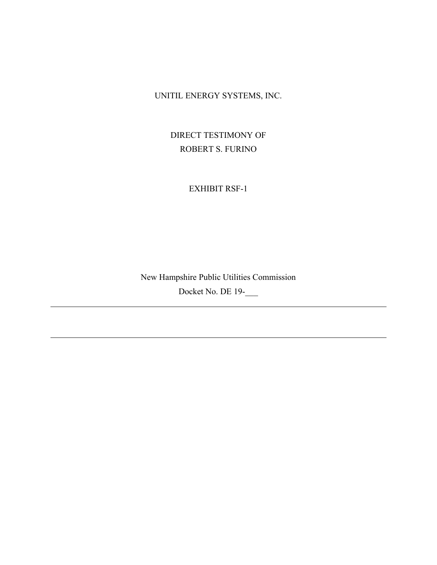UNITIL ENERGY SYSTEMS, INC.

DIRECT TESTIMONY OF ROBERT S. FURINO

EXHIBIT RSF-1

New Hampshire Public Utilities Commission Docket No. DE 19-\_\_\_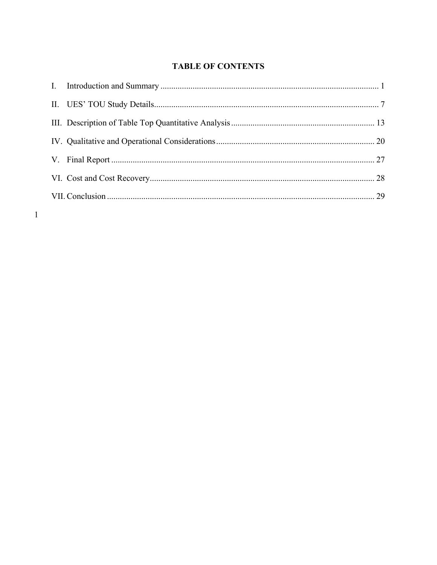# **TABLE OF CONTENTS**

 $\mathbf{1}$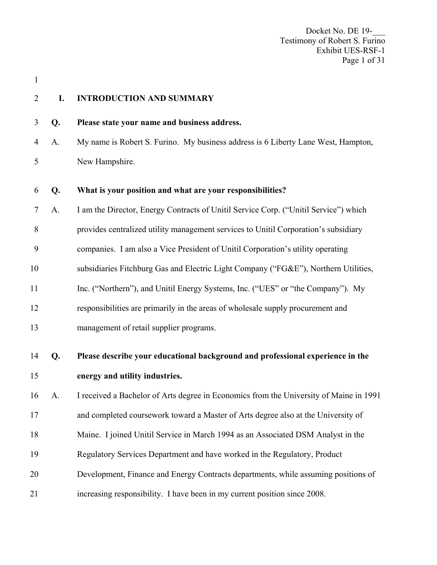Docket No. DE 19-Testimony of Robert S. Furino Exhibit UES-RSF-1 Page 1 of 31

1

#### 2 **I. INTRODUCTION AND SUMMARY**

3 **Q. Please state your name and business address.** 

4 A. My name is Robert S. Furino. My business address is 6 Liberty Lane West, Hampton, 5 New Hampshire.

| What is your position and what are your responsibilities? |
|-----------------------------------------------------------|
|-----------------------------------------------------------|

7 A. I am the Director, Energy Contracts of Unitil Service Corp. ("Unitil Service") which

8 provides centralized utility management services to Unitil Corporation's subsidiary

9 companies. I am also a Vice President of Unitil Corporation's utility operating

10 subsidiaries Fitchburg Gas and Electric Light Company ("FG&E"), Northern Utilities,

11 Inc. ("Northern"), and Unitil Energy Systems, Inc. ("UES" or "the Company"). My

12 responsibilities are primarily in the areas of wholesale supply procurement and

13 management of retail supplier programs.

- 
- 14 **Q. Please describe your educational background and professional experience in the**  15 **energy and utility industries.**  16 A. I received a Bachelor of Arts degree in Economics from the University of Maine in 1991 17 and completed coursework toward a Master of Arts degree also at the University of 18 Maine. I joined Unitil Service in March 1994 as an Associated DSM Analyst in the 19 Regulatory Services Department and have worked in the Regulatory, Product 20 Development, Finance and Energy Contracts departments, while assuming positions of 21 increasing responsibility. I have been in my current position since 2008.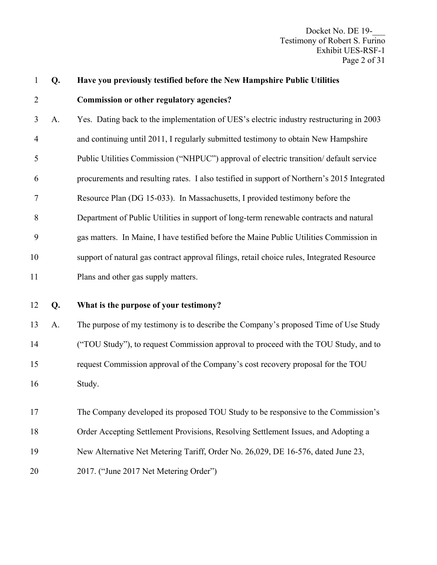Docket No. DE 19-\_\_\_ Testimony of Robert S. Furino Exhibit UES-RSF-1 Page 2 of 31

| $\mathbf{1}$   | Q. | Have you previously testified before the New Hampshire Public Utilities                     |
|----------------|----|---------------------------------------------------------------------------------------------|
| $\overline{2}$ |    | Commission or other regulatory agencies?                                                    |
| 3              | A. | Yes. Dating back to the implementation of UES's electric industry restructuring in 2003     |
| $\overline{4}$ |    | and continuing until 2011, I regularly submitted testimony to obtain New Hampshire          |
| 5              |    | Public Utilities Commission ("NHPUC") approval of electric transition/default service       |
| 6              |    | procurements and resulting rates. I also testified in support of Northern's 2015 Integrated |
| 7              |    | Resource Plan (DG 15-033). In Massachusetts, I provided testimony before the                |
| 8              |    | Department of Public Utilities in support of long-term renewable contracts and natural      |
| 9              |    | gas matters. In Maine, I have testified before the Maine Public Utilities Commission in     |
| 10             |    | support of natural gas contract approval filings, retail choice rules, Integrated Resource  |
| 11             |    | Plans and other gas supply matters.                                                         |
| 12             | Q. | What is the purpose of your testimony?                                                      |
| 13             | A. | The purpose of my testimony is to describe the Company's proposed Time of Use Study         |
| 14             |    | ("TOU Study"), to request Commission approval to proceed with the TOU Study, and to         |
| 15             |    | request Commission approval of the Company's cost recovery proposal for the TOU             |
| 16             |    | Study.                                                                                      |
| 17             |    | The Company developed its proposed TOU Study to be responsive to the Commission's           |
| 18             |    | Order Accepting Settlement Provisions, Resolving Settlement Issues, and Adopting a          |
|                |    |                                                                                             |
| 19             |    | New Alternative Net Metering Tariff, Order No. 26,029, DE 16-576, dated June 23,            |
|                |    |                                                                                             |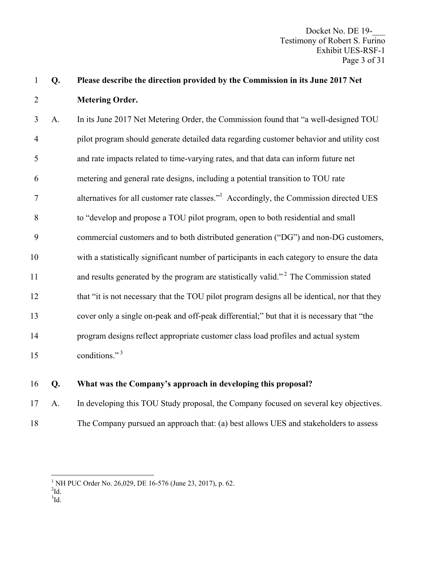3 A. In its June 2017 Net Metering Order, the Commission found that "a well-designed TOU 4 pilot program should generate detailed data regarding customer behavior and utility cost 5 and rate impacts related to time-varying rates, and that data can inform future net 6 metering and general rate designs, including a potential transition to TOU rate 2 alternatives for all customer rate classes."<sup>1</sup> Accordingly, the Commission directed UES 8 to "develop and propose a TOU pilot program, open to both residential and small 9 commercial customers and to both distributed generation ("DG") and non-DG customers, 10 with a statistically significant number of participants in each category to ensure the data 11 and results generated by the program are statistically valid."<sup>2</sup> The Commission stated 12 that "it is not necessary that the TOU pilot program designs all be identical, nor that they 13 cover only a single on-peak and off-peak differential;" but that it is necessary that "the 14 program designs reflect appropriate customer class load profiles and actual system 15 conditions."<sup>3</sup>

### 16 **Q. What was the Company's approach in developing this proposal?**

17 A. In developing this TOU Study proposal, the Company focused on several key objectives.

18 The Company pursued an approach that: (a) best allows UES and stakeholders to assess

 $^{2}$ Id.

 $\overline{a}$ 

 ${}^{3}$ Id.

<sup>&</sup>lt;sup>1</sup> NH PUC Order No. 26,029, DE 16-576 (June 23, 2017), p. 62.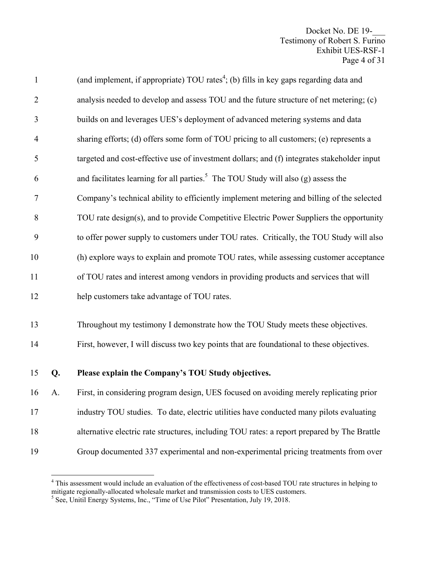| $\mathbf{1}$   |    | (and implement, if appropriate) TOU rates <sup>4</sup> ; (b) fills in key gaps regarding data and |
|----------------|----|---------------------------------------------------------------------------------------------------|
| $\overline{2}$ |    | analysis needed to develop and assess TOU and the future structure of net metering; (c)           |
| 3              |    | builds on and leverages UES's deployment of advanced metering systems and data                    |
| $\overline{4}$ |    | sharing efforts; (d) offers some form of TOU pricing to all customers; (e) represents a           |
| 5              |    | targeted and cost-effective use of investment dollars; and (f) integrates stakeholder input       |
| 6              |    | and facilitates learning for all parties. <sup>5</sup> The TOU Study will also $(g)$ assess the   |
| $\tau$         |    | Company's technical ability to efficiently implement metering and billing of the selected         |
| 8              |    | TOU rate design(s), and to provide Competitive Electric Power Suppliers the opportunity           |
| 9              |    | to offer power supply to customers under TOU rates. Critically, the TOU Study will also           |
| 10             |    | (h) explore ways to explain and promote TOU rates, while assessing customer acceptance            |
| 11             |    | of TOU rates and interest among vendors in providing products and services that will              |
| 12             |    | help customers take advantage of TOU rates.                                                       |
| 13             |    | Throughout my testimony I demonstrate how the TOU Study meets these objectives.                   |
| 14             |    | First, however, I will discuss two key points that are foundational to these objectives.          |
| 15             | Q. | Please explain the Company's TOU Study objectives.                                                |
| 16             | A. | First, in considering program design, UES focused on avoiding merely replicating prior            |
| 17             |    | industry TOU studies. To date, electric utilities have conducted many pilots evaluating           |
| 18             |    | alternative electric rate structures, including TOU rates: a report prepared by The Brattle       |
|                |    |                                                                                                   |

<sup>19</sup> Group documented 337 experimental and non-experimental pricing treatments from over

<sup>&</sup>lt;sup>4</sup> This assessment would include an evaluation of the effectiveness of cost-based TOU rate structures in helping to mitigate regionally-allocated wholesale market and transmission costs to UES customers.<br><sup>5</sup> See, Unitil Energy Systems, Inc., "Time of Use Pilot" Presentation, July 19, 2018.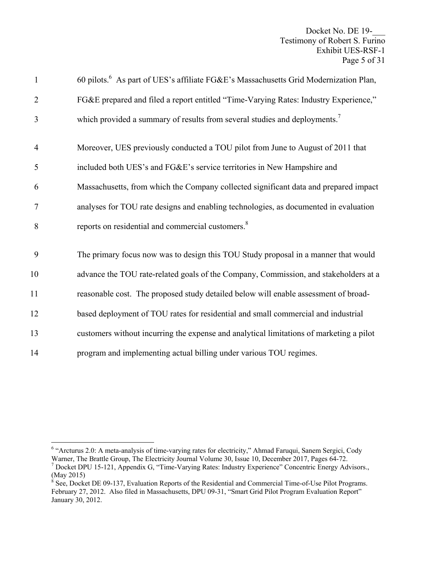| $\mathbf{1}$   | 60 pilots. <sup>6</sup> As part of UES's affiliate FG&E's Massachusetts Grid Modernization Plan, |
|----------------|--------------------------------------------------------------------------------------------------|
| $\overline{2}$ | FG&E prepared and filed a report entitled "Time-Varying Rates: Industry Experience,"             |
| 3              | which provided a summary of results from several studies and deployments. <sup>7</sup>           |
| $\overline{4}$ | Moreover, UES previously conducted a TOU pilot from June to August of 2011 that                  |
| 5              | included both UES's and FG&E's service territories in New Hampshire and                          |
| 6              | Massachusetts, from which the Company collected significant data and prepared impact             |
| $\tau$         | analyses for TOU rate designs and enabling technologies, as documented in evaluation             |
| 8              | reports on residential and commercial customers. <sup>8</sup>                                    |
| 9              | The primary focus now was to design this TOU Study proposal in a manner that would               |
| 10             | advance the TOU rate-related goals of the Company, Commission, and stakeholders at a             |
| 11             | reasonable cost. The proposed study detailed below will enable assessment of broad-              |
| 12             | based deployment of TOU rates for residential and small commercial and industrial                |
| 13             | customers without incurring the expense and analytical limitations of marketing a pilot          |
| 14             | program and implementing actual billing under various TOU regimes.                               |

 6 "Arcturus 2.0: A meta-analysis of time-varying rates for electricity," Ahmad Faruqui, Sanem Sergici, Cody Warner, The Brattle Group, The Electricity Journal Volume 30, Issue 10, December 2017, Pages 64-72.

<sup>&</sup>lt;sup>7</sup> Docket DPU 15-121, Appendix G, "Time-Varying Rates: Industry Experience" Concentric Energy Advisors., (May 2015)

 $8$  See, Docket DE 09-137, Evaluation Reports of the Residential and Commercial Time-of-Use Pilot Programs. February 27, 2012. Also filed in Massachusetts, DPU 09-31, "Smart Grid Pilot Program Evaluation Report" January 30, 2012.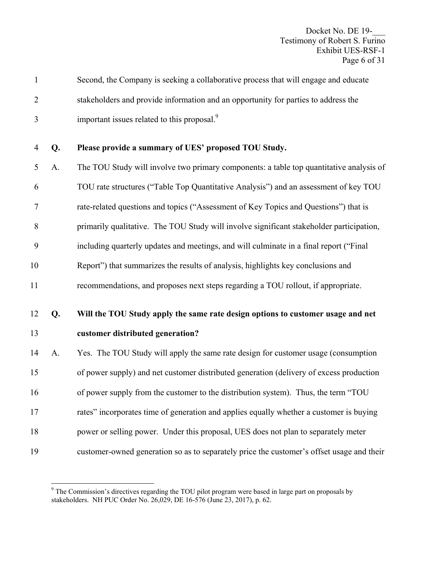| $\mathbf{1}$   |    | Second, the Company is seeking a collaborative process that will engage and educate       |
|----------------|----|-------------------------------------------------------------------------------------------|
| $\overline{2}$ |    | stakeholders and provide information and an opportunity for parties to address the        |
| 3              |    | important issues related to this proposal. <sup>9</sup>                                   |
| 4              | Q. | Please provide a summary of UES' proposed TOU Study.                                      |
| 5              | A. | The TOU Study will involve two primary components: a table top quantitative analysis of   |
| 6              |    | TOU rate structures ("Table Top Quantitative Analysis") and an assessment of key TOU      |
| 7              |    | rate-related questions and topics ("Assessment of Key Topics and Questions") that is      |
| 8              |    | primarily qualitative. The TOU Study will involve significant stakeholder participation,  |
| 9              |    | including quarterly updates and meetings, and will culminate in a final report ("Final    |
| 10             |    | Report") that summarizes the results of analysis, highlights key conclusions and          |
| 11             |    | recommendations, and proposes next steps regarding a TOU rollout, if appropriate.         |
| 12             | Q. | Will the TOU Study apply the same rate design options to customer usage and net           |
| 13             |    | customer distributed generation?                                                          |
| 14             | A. | Yes. The TOU Study will apply the same rate design for customer usage (consumption        |
| 15             |    | of power supply) and net customer distributed generation (delivery of excess production   |
| 16             |    | of power supply from the customer to the distribution system). Thus, the term "TOU        |
| 17             |    | rates" incorporates time of generation and applies equally whether a customer is buying   |
| 18             |    | power or selling power. Under this proposal, UES does not plan to separately meter        |
| 19             |    | customer-owned generation so as to separately price the customer's offset usage and their |
|                |    |                                                                                           |

<sup>&</sup>lt;sup>9</sup> The Commission's directives regarding the TOU pilot program were based in large part on proposals by stakeholders. NH PUC Order No. 26,029, DE 16-576 (June 23, 2017), p. 62.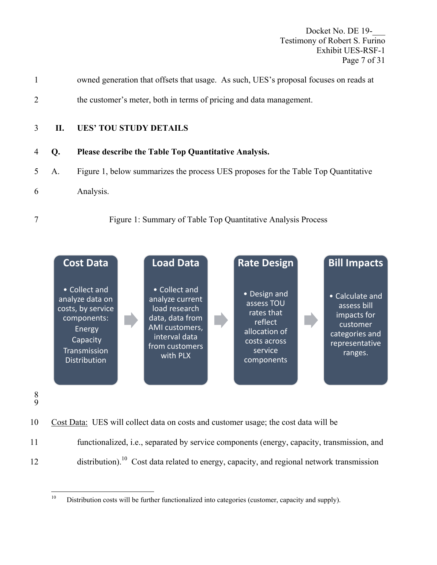Docket No. DE 19-Testimony of Robert S. Furino Exhibit UES-RSF-1 Page 7 of 31

- 1 owned generation that offsets that usage. As such, UES's proposal focuses on reads at
- 2 the customer's meter, both in terms of pricing and data management.

# 3 **II. UES' TOU STUDY DETAILS**

- 4 **Q. Please describe the Table Top Quantitative Analysis.**
- 5 A. Figure 1, below summarizes the process UES proposes for the Table Top Quantitative
- 6 Analysis.
- 

# 7 Figure 1: Summary of Table Top Quantitative Analysis Process



- 8 9
- 10 Cost Data: UES will collect data on costs and customer usage; the cost data will be
- 11 functionalized, i.e., separated by service components (energy, capacity, transmission, and
- $12$  distribution).<sup>10</sup> Cost data related to energy, capacity, and regional network transmission

 $10\,$ Distribution costs will be further functionalized into categories (customer, capacity and supply).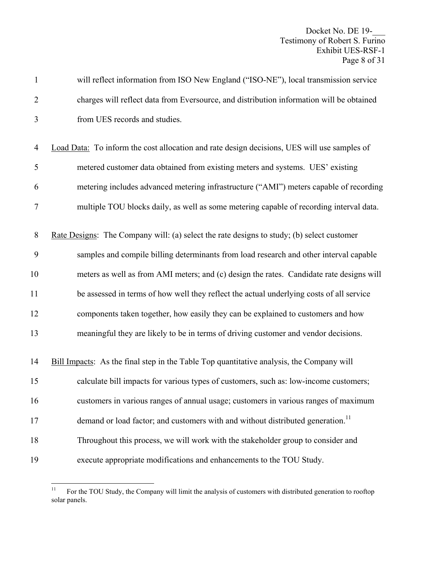| $\mathbf{1}$   | will reflect information from ISO New England ("ISO-NE"), local transmission service        |
|----------------|---------------------------------------------------------------------------------------------|
| $\overline{2}$ | charges will reflect data from Eversource, and distribution information will be obtained    |
| 3              | from UES records and studies.                                                               |
|                |                                                                                             |
| $\overline{4}$ | Load Data: To inform the cost allocation and rate design decisions, UES will use samples of |
| 5              | metered customer data obtained from existing meters and systems. UES' existing              |
| 6              | metering includes advanced metering infrastructure ("AMI") meters capable of recording      |
| 7              | multiple TOU blocks daily, as well as some metering capable of recording interval data.     |
| $8\,$          | Rate Designs: The Company will: (a) select the rate designs to study; (b) select customer   |
| 9              | samples and compile billing determinants from load research and other interval capable      |
| 10             | meters as well as from AMI meters; and (c) design the rates. Candidate rate designs will    |
| 11             | be assessed in terms of how well they reflect the actual underlying costs of all service    |
| 12             | components taken together, how easily they can be explained to customers and how            |
| 13             | meaningful they are likely to be in terms of driving customer and vendor decisions.         |
| 14             | Bill Impacts: As the final step in the Table Top quantitative analysis, the Company will    |
| 15             | calculate bill impacts for various types of customers, such as: low-income customers;       |
| 16             | customers in various ranges of annual usage; customers in various ranges of maximum         |
| 17             | demand or load factor; and customers with and without distributed generation. <sup>11</sup> |
| 18             | Throughout this process, we will work with the stakeholder group to consider and            |
| 19             | execute appropriate modifications and enhancements to the TOU Study.                        |

 $11\,$ 11 For the TOU Study, the Company will limit the analysis of customers with distributed generation to rooftop solar panels.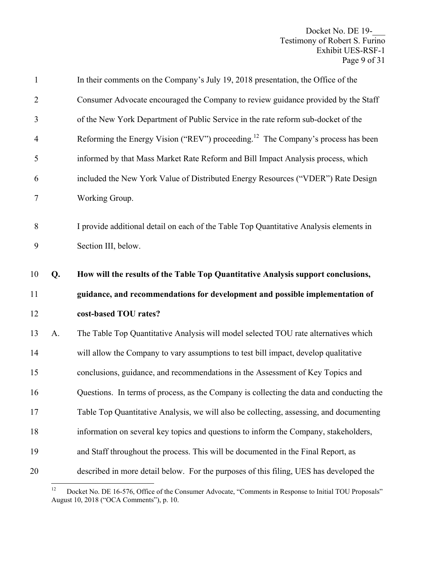| $\mathbf{1}$   |    | In their comments on the Company's July 19, 2018 presentation, the Office of the                              |
|----------------|----|---------------------------------------------------------------------------------------------------------------|
| $\overline{2}$ |    | Consumer Advocate encouraged the Company to review guidance provided by the Staff                             |
| 3              |    | of the New York Department of Public Service in the rate reform sub-docket of the                             |
| $\overline{4}$ |    | Reforming the Energy Vision ("REV") proceeding. <sup>12</sup> The Company's process has been                  |
| 5              |    | informed by that Mass Market Rate Reform and Bill Impact Analysis process, which                              |
| 6              |    | included the New York Value of Distributed Energy Resources ("VDER") Rate Design                              |
| $\tau$         |    | Working Group.                                                                                                |
| $8\,$<br>9     |    | I provide additional detail on each of the Table Top Quantitative Analysis elements in<br>Section III, below. |
|                |    |                                                                                                               |
| 10             | Q. | How will the results of the Table Top Quantitative Analysis support conclusions,                              |
| 11             |    | guidance, and recommendations for development and possible implementation of                                  |
| 12             |    | cost-based TOU rates?                                                                                         |
| 13             | A. | The Table Top Quantitative Analysis will model selected TOU rate alternatives which                           |
| 14             |    | will allow the Company to vary assumptions to test bill impact, develop qualitative                           |
| 15             |    | conclusions, guidance, and recommendations in the Assessment of Key Topics and                                |
| 16             |    | Questions. In terms of process, as the Company is collecting the data and conducting the                      |
| 17             |    | Table Top Quantitative Analysis, we will also be collecting, assessing, and documenting                       |
| 18             |    | information on several key topics and questions to inform the Company, stakeholders,                          |
| 19             |    | and Staff throughout the process. This will be documented in the Final Report, as                             |

 $12$ 12 Docket No. DE 16-576, Office of the Consumer Advocate, "Comments in Response to Initial TOU Proposals" August 10, 2018 ("OCA Comments"), p. 10.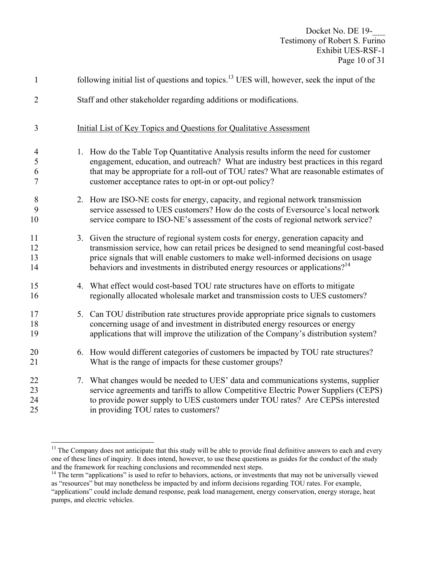| $\mathbf{1}$                  |    | following initial list of questions and topics. <sup>13</sup> UES will, however, seek the input of the                                                                                                                                                                                                                                                        |
|-------------------------------|----|---------------------------------------------------------------------------------------------------------------------------------------------------------------------------------------------------------------------------------------------------------------------------------------------------------------------------------------------------------------|
| $\overline{2}$                |    | Staff and other stakeholder regarding additions or modifications.                                                                                                                                                                                                                                                                                             |
| 3                             |    | Initial List of Key Topics and Questions for Qualitative Assessment                                                                                                                                                                                                                                                                                           |
| $\overline{4}$<br>5<br>6<br>7 |    | 1. How do the Table Top Quantitative Analysis results inform the need for customer<br>engagement, education, and outreach? What are industry best practices in this regard<br>that may be appropriate for a roll-out of TOU rates? What are reasonable estimates of<br>customer acceptance rates to opt-in or opt-out policy?                                 |
| 8<br>9<br>10                  |    | 2. How are ISO-NE costs for energy, capacity, and regional network transmission<br>service assessed to UES customers? How do the costs of Eversource's local network<br>service compare to ISO-NE's assessment of the costs of regional network service?                                                                                                      |
| 11<br>12<br>13<br>14          |    | 3. Given the structure of regional system costs for energy, generation capacity and<br>transmission service, how can retail prices be designed to send meaningful cost-based<br>price signals that will enable customers to make well-informed decisions on usage<br>behaviors and investments in distributed energy resources or applications? <sup>14</sup> |
| 15<br>16                      |    | 4. What effect would cost-based TOU rate structures have on efforts to mitigate<br>regionally allocated wholesale market and transmission costs to UES customers?                                                                                                                                                                                             |
| 17<br>18<br>19                | 5. | Can TOU distribution rate structures provide appropriate price signals to customers<br>concerning usage of and investment in distributed energy resources or energy<br>applications that will improve the utilization of the Company's distribution system?                                                                                                   |
| 20<br>21                      | 6. | How would different categories of customers be impacted by TOU rate structures?<br>What is the range of impacts for these customer groups?                                                                                                                                                                                                                    |
| 22<br>23<br>24<br>25          |    | 7. What changes would be needed to UES' data and communications systems, supplier<br>service agreements and tariffs to allow Competitive Electric Power Suppliers (CEPS)<br>to provide power supply to UES customers under TOU rates? Are CEPSs interested<br>in providing TOU rates to customers?                                                            |

1

<sup>&</sup>lt;sup>13</sup> The Company does not anticipate that this study will be able to provide final definitive answers to each and every one of these lines of inquiry. It does intend, however, to use these questions as guides for the conduct of the study and the framework for reaching conclusions and recommended next steps.

<sup>&</sup>lt;sup>14</sup> The term "applications" is used to refer to behaviors, actions, or investments that may not be universally viewed as "resources" but may nonetheless be impacted by and inform decisions regarding TOU rates. For example, "applications" could include demand response, peak load management, energy conservation, energy storage, heat pumps, and electric vehicles.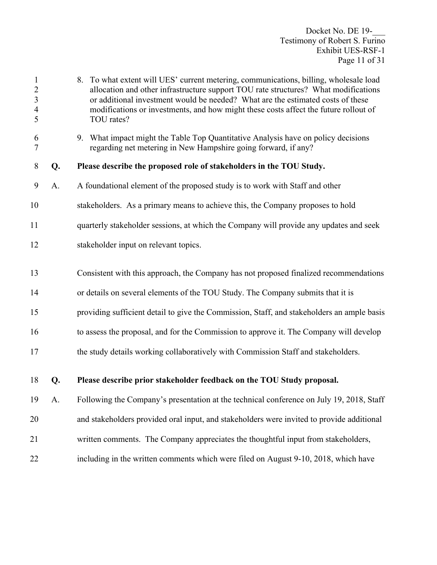| $\mathbf{1}$<br>$\overline{2}$<br>$\mathfrak{Z}$<br>$\overline{4}$<br>5 |    | 8. To what extent will UES' current metering, communications, billing, wholesale load<br>allocation and other infrastructure support TOU rate structures? What modifications<br>or additional investment would be needed? What are the estimated costs of these<br>modifications or investments, and how might these costs affect the future rollout of<br>TOU rates? |
|-------------------------------------------------------------------------|----|-----------------------------------------------------------------------------------------------------------------------------------------------------------------------------------------------------------------------------------------------------------------------------------------------------------------------------------------------------------------------|
| 6<br>7                                                                  |    | 9. What impact might the Table Top Quantitative Analysis have on policy decisions<br>regarding net metering in New Hampshire going forward, if any?                                                                                                                                                                                                                   |
| 8                                                                       | Q. | Please describe the proposed role of stakeholders in the TOU Study.                                                                                                                                                                                                                                                                                                   |
| 9                                                                       | A. | A foundational element of the proposed study is to work with Staff and other                                                                                                                                                                                                                                                                                          |
| 10                                                                      |    | stakeholders. As a primary means to achieve this, the Company proposes to hold                                                                                                                                                                                                                                                                                        |
| 11                                                                      |    | quarterly stakeholder sessions, at which the Company will provide any updates and seek                                                                                                                                                                                                                                                                                |
| 12                                                                      |    | stakeholder input on relevant topics.                                                                                                                                                                                                                                                                                                                                 |
| 13                                                                      |    | Consistent with this approach, the Company has not proposed finalized recommendations                                                                                                                                                                                                                                                                                 |
| 14                                                                      |    | or details on several elements of the TOU Study. The Company submits that it is                                                                                                                                                                                                                                                                                       |
| 15                                                                      |    | providing sufficient detail to give the Commission, Staff, and stakeholders an ample basis                                                                                                                                                                                                                                                                            |
| 16                                                                      |    | to assess the proposal, and for the Commission to approve it. The Company will develop                                                                                                                                                                                                                                                                                |
| 17                                                                      |    | the study details working collaboratively with Commission Staff and stakeholders.                                                                                                                                                                                                                                                                                     |
| 18                                                                      | Q. | Please describe prior stakeholder feedback on the TOU Study proposal.                                                                                                                                                                                                                                                                                                 |
| 19                                                                      | A. | Following the Company's presentation at the technical conference on July 19, 2018, Staff                                                                                                                                                                                                                                                                              |
| 20                                                                      |    | and stakeholders provided oral input, and stakeholders were invited to provide additional                                                                                                                                                                                                                                                                             |
| 21                                                                      |    | written comments. The Company appreciates the thoughtful input from stakeholders,                                                                                                                                                                                                                                                                                     |
| 22                                                                      |    | including in the written comments which were filed on August 9-10, 2018, which have                                                                                                                                                                                                                                                                                   |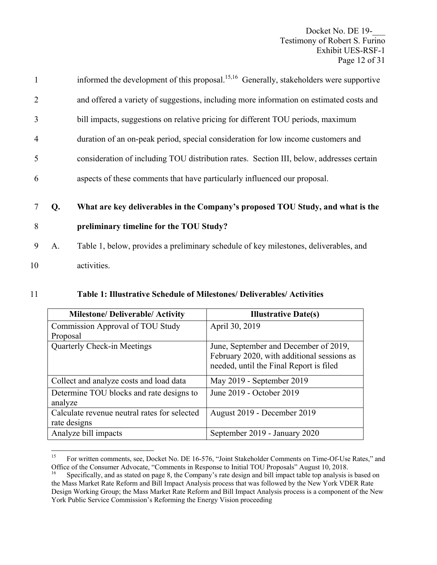Docket No. DE 19-Testimony of Robert S. Furino Exhibit UES-RSF-1 Page 12 of 31

| $\mathbf{1}$   |    | informed the development of this proposal. <sup>15,16</sup> Generally, stakeholders were supportive |
|----------------|----|-----------------------------------------------------------------------------------------------------|
| $\overline{2}$ |    | and offered a variety of suggestions, including more information on estimated costs and             |
| $\overline{3}$ |    | bill impacts, suggestions on relative pricing for different TOU periods, maximum                    |
| $\overline{4}$ |    | duration of an on-peak period, special consideration for low income customers and                   |
| 5              |    | consideration of including TOU distribution rates. Section III, below, addresses certain            |
| 6              |    | aspects of these comments that have particularly influenced our proposal.                           |
|                |    |                                                                                                     |
|                | Q. | What are key deliverables in the Company's proposed TOU Study, and what is the                      |
| 8              |    | preliminary timeline for the TOU Study?                                                             |
| 9              | A. | Table 1, below, provides a preliminary schedule of key milestones, deliverables, and                |
|                |    |                                                                                                     |

10 activities.

| 11 | <b>Table 1: Illustrative Schedule of Milestones/ Deliverables/ Activities</b> |
|----|-------------------------------------------------------------------------------|
|----|-------------------------------------------------------------------------------|

| <b>Milestone/Deliverable/Activity</b>        | <b>Illustrative Date(s)</b>                |
|----------------------------------------------|--------------------------------------------|
| <b>Commission Approval of TOU Study</b>      | April 30, 2019                             |
| Proposal                                     |                                            |
| <b>Quarterly Check-in Meetings</b>           | June, September and December of 2019,      |
|                                              | February 2020, with additional sessions as |
|                                              | needed, until the Final Report is filed    |
| Collect and analyze costs and load data      | May 2019 - September 2019                  |
| Determine TOU blocks and rate designs to     | June 2019 - October 2019                   |
| analyze                                      |                                            |
| Calculate revenue neutral rates for selected | August 2019 - December 2019                |
| rate designs                                 |                                            |
| Analyze bill impacts                         | September 2019 - January 2020              |

<sup>15</sup> 15 For written comments, see, Docket No. DE 16-576, "Joint Stakeholder Comments on Time-Of-Use Rates," and Office of the Consumer Advocate, "Comments in Response to Initial TOU Proposals" August 10, 2018.

Specifically, and as stated on page 8, the Company's rate design and bill impact table top analysis is based on the Mass Market Rate Reform and Bill Impact Analysis process that was followed by the New York VDER Rate Design Working Group; the Mass Market Rate Reform and Bill Impact Analysis process is a component of the New York Public Service Commission's Reforming the Energy Vision proceeding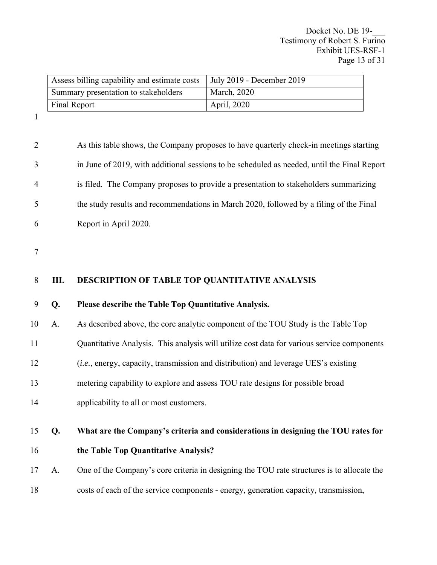| Assess billing capability and estimate costs | July 2019 - December 2019 |
|----------------------------------------------|---------------------------|
| Summary presentation to stakeholders         | <b>March</b> , 2020       |
| Final Report                                 | April, 2020               |

1

| $\overline{2}$ |    | As this table shows, the Company proposes to have quarterly check-in meetings starting       |
|----------------|----|----------------------------------------------------------------------------------------------|
| 3              |    | in June of 2019, with additional sessions to be scheduled as needed, until the Final Report  |
| $\overline{4}$ |    | is filed. The Company proposes to provide a presentation to stakeholders summarizing         |
| 5              |    | the study results and recommendations in March 2020, followed by a filing of the Final       |
| 6              |    | Report in April 2020.                                                                        |
| $\tau$         |    |                                                                                              |
|                |    |                                                                                              |
| 8              | Ш. | DESCRIPTION OF TABLE TOP QUANTITATIVE ANALYSIS                                               |
| 9              | Q. | Please describe the Table Top Quantitative Analysis.                                         |
| 10             | A. | As described above, the core analytic component of the TOU Study is the Table Top            |
| 11             |    | Quantitative Analysis. This analysis will utilize cost data for various service components   |
| 12             |    | ( <i>i.e.</i> , energy, capacity, transmission and distribution) and leverage UES's existing |
| 13             |    | metering capability to explore and assess TOU rate designs for possible broad                |
| 14             |    | applicability to all or most customers.                                                      |
| 15             | Q. | What are the Company's criteria and considerations in designing the TOU rates for            |
| 16             |    | the Table Top Quantitative Analysis?                                                         |
|                |    |                                                                                              |
| 17             | A. | One of the Company's core criteria in designing the TOU rate structures is to allocate the   |
| 18             |    | costs of each of the service components - energy, generation capacity, transmission,         |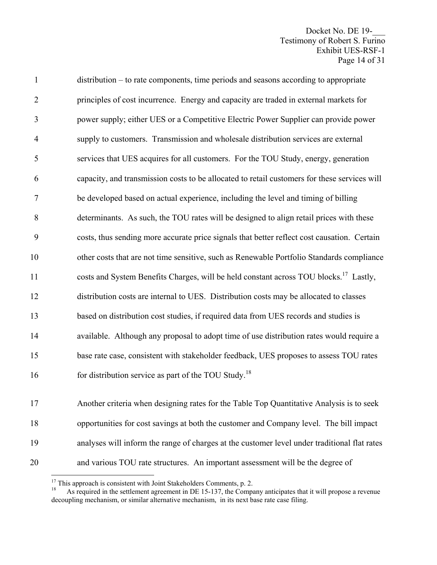Docket No. DE 19-Testimony of Robert S. Furino Exhibit UES-RSF-1 Page 14 of 31

1 distribution – to rate components, time periods and seasons according to appropriate 2 principles of cost incurrence. Energy and capacity are traded in external markets for 3 power supply; either UES or a Competitive Electric Power Supplier can provide power 4 supply to customers. Transmission and wholesale distribution services are external 5 services that UES acquires for all customers. For the TOU Study, energy, generation 6 capacity, and transmission costs to be allocated to retail customers for these services will 7 be developed based on actual experience, including the level and timing of billing 8 determinants. As such, the TOU rates will be designed to align retail prices with these 9 costs, thus sending more accurate price signals that better reflect cost causation. Certain 10 other costs that are not time sensitive, such as Renewable Portfolio Standards compliance 11 costs and System Benefits Charges, will be held constant across TOU blocks.<sup>17</sup> Lastly, 12 distribution costs are internal to UES. Distribution costs may be allocated to classes 13 based on distribution cost studies, if required data from UES records and studies is 14 available. Although any proposal to adopt time of use distribution rates would require a 15 base rate case, consistent with stakeholder feedback, UES proposes to assess TOU rates 16 for distribution service as part of the TOU Study.<sup>18</sup> 17 Another criteria when designing rates for the Table Top Quantitative Analysis is to seek

18 opportunities for cost savings at both the customer and Company level. The bill impact 19 analyses will inform the range of charges at the customer level under traditional flat rates 20 and various TOU rate structures. An important assessment will be the degree of

 $\overline{a}$ 

 $17$  This approach is consistent with Joint Stakeholders Comments, p. 2.

<sup>18</sup> As required in the settlement agreement in DE 15-137, the Company anticipates that it will propose a revenue decoupling mechanism, or similar alternative mechanism, in its next base rate case filing.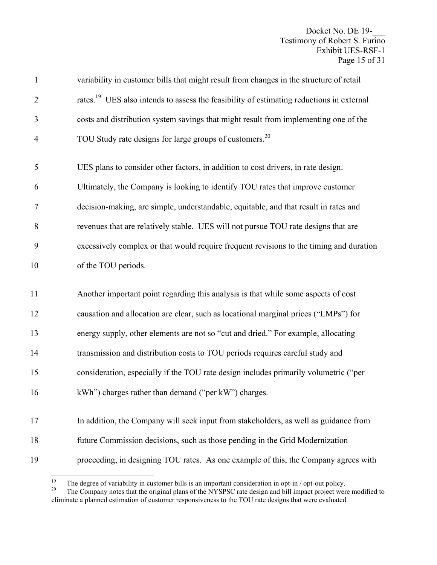Docket No. DE 19-\_\_\_ Testimony of Robert S. Furino Exhibit UES-RSF-1 Page 15 of 31

| $\mathbf{1}$   | variability in customer bills that might result from changes in the structure of retail                                                                              |
|----------------|----------------------------------------------------------------------------------------------------------------------------------------------------------------------|
| $\overline{2}$ | rates. <sup>19</sup> UES also intends to assess the feasibility of estimating reductions in external                                                                 |
| 3              | costs and distribution system savings that might result from implementing one of the                                                                                 |
| $\overline{4}$ | TOU Study rate designs for large groups of customers. <sup>20</sup>                                                                                                  |
| 5              | UES plans to consider other factors, in addition to cost drivers, in rate design.                                                                                    |
| 6              | Ultimately, the Company is looking to identify TOU rates that improve customer                                                                                       |
| 7              | decision-making, are simple, understandable, equitable, and that result in rates and                                                                                 |
| 8              | revenues that are relatively stable. UES will not pursue TOU rate designs that are                                                                                   |
| 9              | excessively complex or that would require frequent revisions to the timing and duration                                                                              |
| 10             | of the TOU periods.                                                                                                                                                  |
| 11             | Another important point regarding this analysis is that while some aspects of cost                                                                                   |
|                |                                                                                                                                                                      |
| 12             | causation and allocation are clear, such as locational marginal prices ("LMPs") for                                                                                  |
| 13             | energy supply, other elements are not so "cut and dried." For example, allocating                                                                                    |
| 14             | transmission and distribution costs to TOU periods requires careful study and                                                                                        |
| 15             | consideration, especially if the TOU rate design includes primarily volumetric ("per                                                                                 |
| 16             | kWh") charges rather than demand ("per kW") charges.                                                                                                                 |
| 17             |                                                                                                                                                                      |
| 18             | In addition, the Company will seek input from stakeholders, as well as guidance from<br>future Commission decisions, such as those pending in the Grid Modernization |
| 19             | proceeding, in designing TOU rates. As one example of this, the Company agrees with                                                                                  |

 $19\,$ <sup>19</sup> The degree of variability in customer bills is an important consideration in opt-in  $/$  opt-out policy.<br><sup>20</sup> The Company notes that the original plans of the NVSPSC rate design and bill impact project wer

The Company notes that the original plans of the NYSPSC rate design and bill impact project were modified to eliminate a planned estimation of customer responsiveness to the TOU rate designs that were evaluated.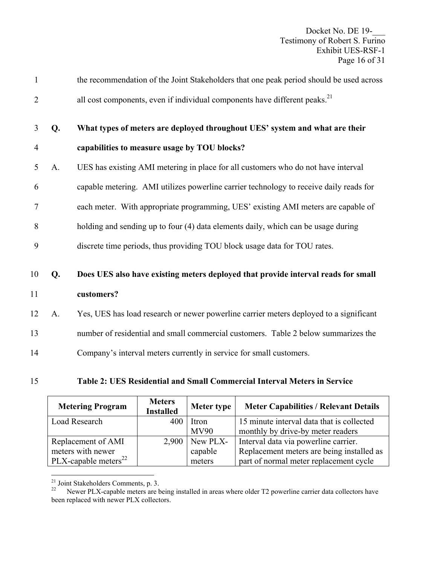| $\mathbf{1}$   |    | the recommendation of the Joint Stakeholders that one peak period should be used across |
|----------------|----|-----------------------------------------------------------------------------------------|
| 2              |    | all cost components, even if individual components have different peaks. <sup>21</sup>  |
| 3              | Q. | What types of meters are deployed throughout UES' system and what are their             |
| $\overline{4}$ |    | capabilities to measure usage by TOU blocks?                                            |
| 5              | A. | UES has existing AMI metering in place for all customers who do not have interval       |
| 6              |    | capable metering. AMI utilizes powerline carrier technology to receive daily reads for  |
| 7              |    | each meter. With appropriate programming, UES' existing AMI meters are capable of       |
| 8              |    | holding and sending up to four (4) data elements daily, which can be usage during       |
| 9              |    | discrete time periods, thus providing TOU block usage data for TOU rates.               |
|                |    |                                                                                         |
| 10             | Q. | Does UES also have existing meters deployed that provide interval reads for small       |
| 11             |    | customers?                                                                              |
| 12             | A. | Yes, UES has load research or newer powerline carrier meters deployed to a significant  |
| 13             |    | number of residential and small commercial customers. Table 2 below summarizes the      |
|                |    |                                                                                         |

- 14 Company's interval meters currently in service for small customers.
- 15 **Table 2: UES Residential and Small Commercial Interval Meters in Service**

| <b>Metering Program</b>          | <b>Meters</b><br><b>Installed</b> | Meter type  | <b>Meter Capabilities / Relevant Details</b> |
|----------------------------------|-----------------------------------|-------------|----------------------------------------------|
| <b>Load Research</b>             | 400                               | Itron       | 15 minute interval data that is collected    |
|                                  |                                   | <b>MV90</b> | monthly by drive-by meter readers            |
| Replacement of AMI               | 2,900                             | New PLX-    | Interval data via powerline carrier.         |
| meters with newer                |                                   | capable     | Replacement meters are being installed as    |
| PLX-capable meters <sup>22</sup> |                                   | meters      | part of normal meter replacement cycle       |

 $\overline{a}$  $21$  Joint Stakeholders Comments, p. 3.

Newer PLX-capable meters are being installed in areas where older T2 powerline carrier data collectors have been replaced with newer PLX collectors.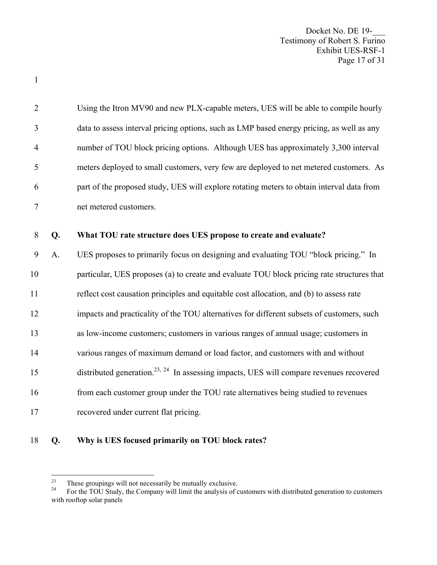Docket No. DE 19-\_\_\_ Testimony of Robert S. Furino Exhibit UES-RSF-1 Page 17 of 31

| $\overline{2}$ |    | Using the Itron MV90 and new PLX-capable meters, UES will be able to compile hourly                 |
|----------------|----|-----------------------------------------------------------------------------------------------------|
| 3              |    | data to assess interval pricing options, such as LMP based energy pricing, as well as any           |
| $\overline{4}$ |    | number of TOU block pricing options. Although UES has approximately 3,300 interval                  |
| 5              |    | meters deployed to small customers, very few are deployed to net metered customers. As              |
| 6              |    | part of the proposed study, UES will explore rotating meters to obtain interval data from           |
| $\overline{7}$ |    | net metered customers.                                                                              |
| 8              | Q. | What TOU rate structure does UES propose to create and evaluate?                                    |
|                |    |                                                                                                     |
| 9              | A. | UES proposes to primarily focus on designing and evaluating TOU "block pricing." In                 |
| 10             |    | particular, UES proposes (a) to create and evaluate TOU block pricing rate structures that          |
| 11             |    | reflect cost causation principles and equitable cost allocation, and (b) to assess rate             |
| 12             |    | impacts and practicality of the TOU alternatives for different subsets of customers, such           |
| 13             |    | as low-income customers; customers in various ranges of annual usage; customers in                  |
| 14             |    | various ranges of maximum demand or load factor, and customers with and without                     |
| 15             |    | distributed generation. <sup>23, 24</sup> In assessing impacts, UES will compare revenues recovered |
| 16             |    | from each customer group under the TOU rate alternatives being studied to revenues                  |
| 17             |    | recovered under current flat pricing.                                                               |
|                |    |                                                                                                     |

#### 18 **Q. Why is UES focused primarily on TOU block rates?**

1

 $23\,$ 

<sup>&</sup>lt;sup>23</sup> These groupings will not necessarily be mutually exclusive.<br><sup>24</sup> For the TOU Study, the Company will limit the analysis of customers with distributed generation to customers with rooftop solar panels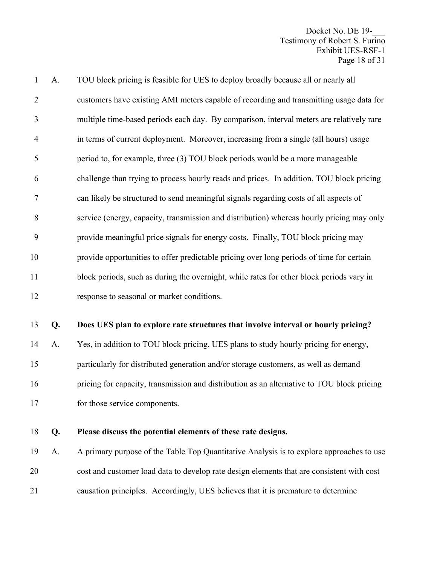Docket No. DE 19-Testimony of Robert S. Furino Exhibit UES-RSF-1 Page 18 of 31

| $\mathbf{1}$   | A. | TOU block pricing is feasible for UES to deploy broadly because all or nearly all          |
|----------------|----|--------------------------------------------------------------------------------------------|
| $\overline{2}$ |    | customers have existing AMI meters capable of recording and transmitting usage data for    |
| 3              |    | multiple time-based periods each day. By comparison, interval meters are relatively rare   |
| $\overline{4}$ |    | in terms of current deployment. Moreover, increasing from a single (all hours) usage       |
| 5              |    | period to, for example, three (3) TOU block periods would be a more manageable             |
| 6              |    | challenge than trying to process hourly reads and prices. In addition, TOU block pricing   |
| 7              |    | can likely be structured to send meaningful signals regarding costs of all aspects of      |
| 8              |    | service (energy, capacity, transmission and distribution) whereas hourly pricing may only  |
| 9              |    | provide meaningful price signals for energy costs. Finally, TOU block pricing may          |
| 10             |    | provide opportunities to offer predictable pricing over long periods of time for certain   |
| 11             |    | block periods, such as during the overnight, while rates for other block periods vary in   |
| 12             |    | response to seasonal or market conditions.                                                 |
| 13             | Q. | Does UES plan to explore rate structures that involve interval or hourly pricing?          |
| 14             | A. | Yes, in addition to TOU block pricing, UES plans to study hourly pricing for energy,       |
|                |    |                                                                                            |
| 15             |    | particularly for distributed generation and/or storage customers, as well as demand        |
| 16             |    | pricing for capacity, transmission and distribution as an alternative to TOU block pricing |
| 17             |    | for those service components.                                                              |

#### 18 **Q. Please discuss the potential elements of these rate designs.**

19 A. A primary purpose of the Table Top Quantitative Analysis is to explore approaches to use 20 cost and customer load data to develop rate design elements that are consistent with cost 21 causation principles. Accordingly, UES believes that it is premature to determine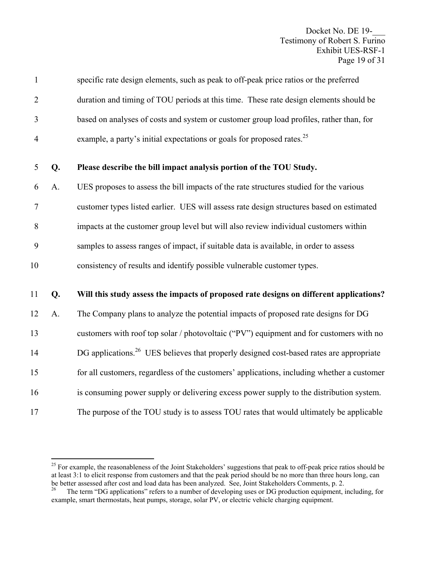Docket No. DE 19-\_\_\_ Testimony of Robert S. Furino Exhibit UES-RSF-1 Page 19 of 31

| $\mathbf{1}$   |    | specific rate design elements, such as peak to off-peak price ratios or the preferred               |
|----------------|----|-----------------------------------------------------------------------------------------------------|
| $\overline{2}$ |    | duration and timing of TOU periods at this time. These rate design elements should be               |
| 3              |    | based on analyses of costs and system or customer group load profiles, rather than, for             |
| $\overline{4}$ |    | example, a party's initial expectations or goals for proposed rates. <sup>25</sup>                  |
| 5              | Q. | Please describe the bill impact analysis portion of the TOU Study.                                  |
| 6              | A. | UES proposes to assess the bill impacts of the rate structures studied for the various              |
| $\tau$         |    | customer types listed earlier. UES will assess rate design structures based on estimated            |
| 8              |    | impacts at the customer group level but will also review individual customers within                |
| 9              |    | samples to assess ranges of impact, if suitable data is available, in order to assess               |
| 10             |    | consistency of results and identify possible vulnerable customer types.                             |
| 11             | Q. | Will this study assess the impacts of proposed rate designs on different applications?              |
| 12             | A. | The Company plans to analyze the potential impacts of proposed rate designs for DG                  |
| 13             |    | customers with roof top solar / photovoltaic ("PV") equipment and for customers with no             |
| 14             |    | DG applications. <sup>26</sup> UES believes that properly designed cost-based rates are appropriate |
| 15             |    | for all customers, regardless of the customers' applications, including whether a customer          |
| 16             |    | is consuming power supply or delivering excess power supply to the distribution system.             |
| 17             |    | The purpose of the TOU study is to assess TOU rates that would ultimately be applicable             |

 $\overline{a}$ 

<sup>&</sup>lt;sup>25</sup> For example, the reasonableness of the Joint Stakeholders' suggestions that peak to off-peak price ratios should be at least 3:1 to elicit response from customers and that the peak period should be no more than three hours long, can be better assessed after cost and load data has been analyzed. See, Joint Stakeholders Comments, p. 2.

The term "DG applications" refers to a number of developing uses or DG production equipment, including, for example, smart thermostats, heat pumps, storage, solar PV, or electric vehicle charging equipment.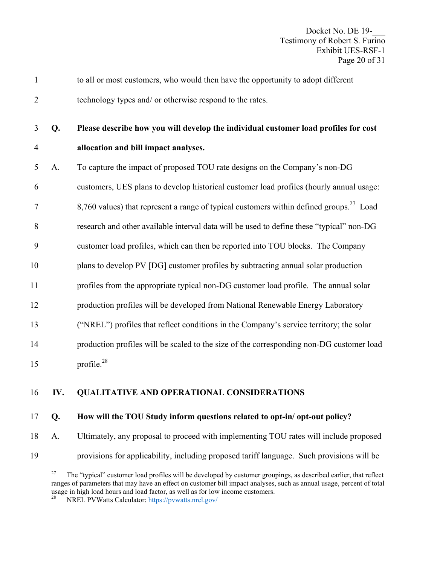1 to all or most customers, who would then have the opportunity to adopt different 2 technology types and/ or otherwise respond to the rates.

3 **Q. Please describe how you will develop the individual customer load profiles for cost**  4 **allocation and bill impact analyses.** 

- 5 A. To capture the impact of proposed TOU rate designs on the Company's non-DG
- 6 customers, UES plans to develop historical customer load profiles (hourly annual usage:
- $8,760$  values) that represent a range of typical customers within defined groups.<sup>27</sup> Load
- 8 research and other available interval data will be used to define these "typical" non-DG
- 9 customer load profiles, which can then be reported into TOU blocks. The Company
- 10 plans to develop PV [DG] customer profiles by subtracting annual solar production
- 11 profiles from the appropriate typical non-DG customer load profile. The annual solar
- 12 production profiles will be developed from National Renewable Energy Laboratory
- 13 ("NREL") profiles that reflect conditions in the Company's service territory; the solar
- 14 production profiles will be scaled to the size of the corresponding non-DG customer load
- 15  $\mu$  profile.<sup>28</sup>

# 16 **IV. QUALITATIVE AND OPERATIONAL CONSIDERATIONS**

# 17 **Q. How will the TOU Study inform questions related to opt-in/ opt-out policy?**

18 A. Ultimately, any proposal to proceed with implementing TOU rates will include proposed

19 provisions for applicability, including proposed tariff language. Such provisions will be

<sup>27</sup> The "typical" customer load profiles will be developed by customer groupings, as described earlier, that reflect ranges of parameters that may have an effect on customer bill impact analyses, such as annual usage, percent of total usage in high load hours and load factor, as well as for low income customers.

<sup>28</sup> NREL PVWatts Calculator: https://pvwatts.nrel.gov/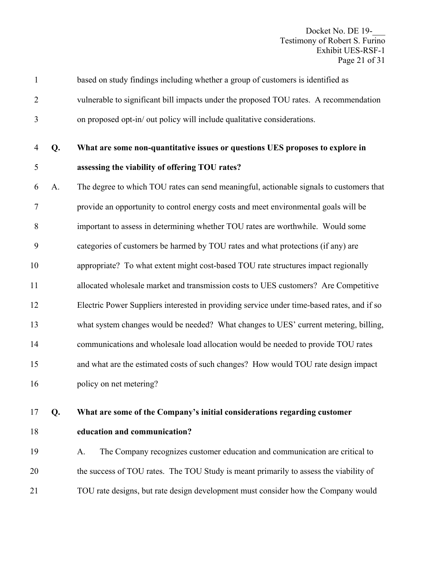Docket No. DE 19-\_\_\_ Testimony of Robert S. Furino Exhibit UES-RSF-1 Page 21 of 31

| $\mathbf{1}$ |    | based on study findings including whether a group of customers is identified as            |
|--------------|----|--------------------------------------------------------------------------------------------|
| 2            |    | vulnerable to significant bill impacts under the proposed TOU rates. A recommendation      |
| 3            |    | on proposed opt-in/ out policy will include qualitative considerations.                    |
| 4            | Q. | What are some non-quantitative issues or questions UES proposes to explore in              |
| 5            |    | assessing the viability of offering TOU rates?                                             |
| 6            | A. | The degree to which TOU rates can send meaningful, actionable signals to customers that    |
| $\tau$       |    | provide an opportunity to control energy costs and meet environmental goals will be        |
| 8            |    | important to assess in determining whether TOU rates are worthwhile. Would some            |
| 9            |    | categories of customers be harmed by TOU rates and what protections (if any) are           |
| 10           |    | appropriate? To what extent might cost-based TOU rate structures impact regionally         |
| 11           |    | allocated wholesale market and transmission costs to UES customers? Are Competitive        |
| 12           |    | Electric Power Suppliers interested in providing service under time-based rates, and if so |
| 13           |    | what system changes would be needed? What changes to UES' current metering, billing,       |
| 14           |    | communications and wholesale load allocation would be needed to provide TOU rates          |
| 15           |    | and what are the estimated costs of such changes? How would TOU rate design impact         |
| 16           |    | policy on net metering?                                                                    |
| 17           | Q. | What are some of the Company's initial considerations regarding customer                   |
| 18           |    | education and communication?                                                               |
| 19           |    | The Company recognizes customer education and communication are critical to<br>A.          |
| 20           |    | the success of TOU rates. The TOU Study is meant primarily to assess the viability of      |
| 21           |    | TOU rate designs, but rate design development must consider how the Company would          |
|              |    |                                                                                            |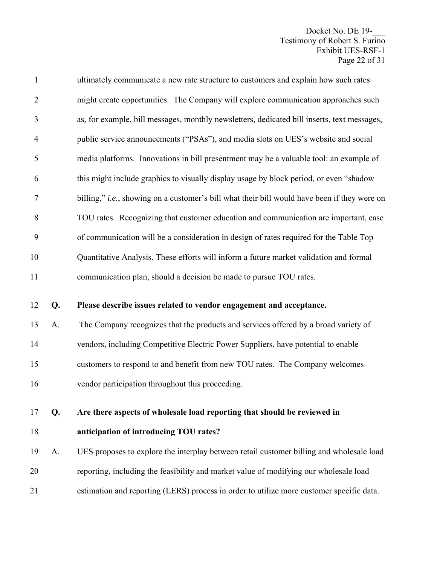Docket No. DE 19-\_\_\_ Testimony of Robert S. Furino Exhibit UES-RSF-1 Page 22 of 31

| $\mathbf{1}$   |    | ultimately communicate a new rate structure to customers and explain how such rates          |
|----------------|----|----------------------------------------------------------------------------------------------|
| $\overline{2}$ |    | might create opportunities. The Company will explore communication approaches such           |
| 3              |    | as, for example, bill messages, monthly newsletters, dedicated bill inserts, text messages,  |
| $\overline{4}$ |    | public service announcements ("PSAs"), and media slots on UES's website and social           |
| 5              |    | media platforms. Innovations in bill presentment may be a valuable tool: an example of       |
| 6              |    | this might include graphics to visually display usage by block period, or even "shadow       |
| $\tau$         |    | billing," i.e., showing on a customer's bill what their bill would have been if they were on |
| 8              |    | TOU rates. Recognizing that customer education and communication are important, ease         |
| 9              |    | of communication will be a consideration in design of rates required for the Table Top       |
| 10             |    | Quantitative Analysis. These efforts will inform a future market validation and formal       |
| 11             |    | communication plan, should a decision be made to pursue TOU rates.                           |
|                |    |                                                                                              |
| 12             | Q. | Please describe issues related to vendor engagement and acceptance.                          |
| 13             | A. | The Company recognizes that the products and services offered by a broad variety of          |
| 14             |    | vendors, including Competitive Electric Power Suppliers, have potential to enable            |
| 15             |    | customers to respond to and benefit from new TOU rates. The Company welcomes                 |
| 16             |    | vendor participation throughout this proceeding.                                             |
| 17             | Q. | Are there aspects of wholesale load reporting that should be reviewed in                     |
| 18             |    | anticipation of introducing TOU rates?                                                       |
| 19             | A. | UES proposes to explore the interplay between retail customer billing and wholesale load     |
| 20             |    | reporting, including the feasibility and market value of modifying our wholesale load        |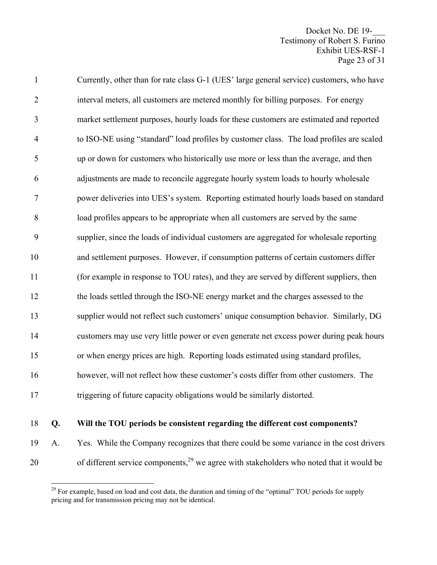Docket No. DE 19-Testimony of Robert S. Furino Exhibit UES-RSF-1 Page 23 of 31

| $\mathbf{1}$   | Currently, other than for rate class G-1 (UES' large general service) customers, who have |
|----------------|-------------------------------------------------------------------------------------------|
| $\overline{2}$ | interval meters, all customers are metered monthly for billing purposes. For energy       |
| 3              | market settlement purposes, hourly loads for these customers are estimated and reported   |
| $\overline{4}$ | to ISO-NE using "standard" load profiles by customer class. The load profiles are scaled  |
| 5              | up or down for customers who historically use more or less than the average, and then     |
| 6              | adjustments are made to reconcile aggregate hourly system loads to hourly wholesale       |
| $\tau$         | power deliveries into UES's system. Reporting estimated hourly loads based on standard    |
| 8              | load profiles appears to be appropriate when all customers are served by the same         |
| 9              | supplier, since the loads of individual customers are aggregated for wholesale reporting  |
| 10             | and settlement purposes. However, if consumption patterns of certain customers differ     |
| 11             | (for example in response to TOU rates), and they are served by different suppliers, then  |
| 12             | the loads settled through the ISO-NE energy market and the charges assessed to the        |
| 13             | supplier would not reflect such customers' unique consumption behavior. Similarly, DG     |
| 14             | customers may use very little power or even generate net excess power during peak hours   |
| 15             | or when energy prices are high. Reporting loads estimated using standard profiles,        |
| 16             | however, will not reflect how these customer's costs differ from other customers. The     |
| 17             | triggering of future capacity obligations would be similarly distorted.                   |
|                |                                                                                           |

1

# 18 **Q. Will the TOU periods be consistent regarding the different cost components?**

19 A. Yes. While the Company recognizes that there could be some variance in the cost drivers 20 of different service components, $2^9$  we agree with stakeholders who noted that it would be

<sup>&</sup>lt;sup>29</sup> For example, based on load and cost data, the duration and timing of the "optimal" TOU periods for supply pricing and for transmission pricing may not be identical.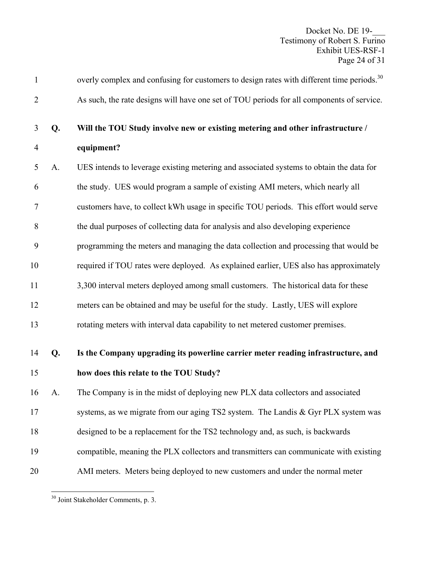| $\mathbf{1}$   |    | overly complex and confusing for customers to design rates with different time periods. <sup>30</sup> |
|----------------|----|-------------------------------------------------------------------------------------------------------|
| $\overline{2}$ |    | As such, the rate designs will have one set of TOU periods for all components of service.             |
| 3              | Q. | Will the TOU Study involve new or existing metering and other infrastructure /                        |
| $\overline{4}$ |    | equipment?                                                                                            |
| 5              | A. | UES intends to leverage existing metering and associated systems to obtain the data for               |
| 6              |    | the study. UES would program a sample of existing AMI meters, which nearly all                        |
| $\tau$         |    | customers have, to collect kWh usage in specific TOU periods. This effort would serve                 |
| 8              |    | the dual purposes of collecting data for analysis and also developing experience                      |
| 9              |    | programming the meters and managing the data collection and processing that would be                  |
| 10             |    | required if TOU rates were deployed. As explained earlier, UES also has approximately                 |
| 11             |    | 3,300 interval meters deployed among small customers. The historical data for these                   |
| 12             |    | meters can be obtained and may be useful for the study. Lastly, UES will explore                      |
| 13             |    | rotating meters with interval data capability to net metered customer premises.                       |
| 14             | Q. | Is the Company upgrading its powerline carrier meter reading infrastructure, and                      |
| 15             |    | how does this relate to the TOU Study?                                                                |
| 16             | A. | The Company is in the midst of deploying new PLX data collectors and associated                       |
| 17             |    | systems, as we migrate from our aging TS2 system. The Landis & Gyr PLX system was                     |
| 18             |    | designed to be a replacement for the TS2 technology and, as such, is backwards                        |
| 19             |    | compatible, meaning the PLX collectors and transmitters can communicate with existing                 |
| 20             |    | AMI meters. Meters being deployed to new customers and under the normal meter                         |

<sup>1</sup> <sup>30</sup> Joint Stakeholder Comments, p. 3.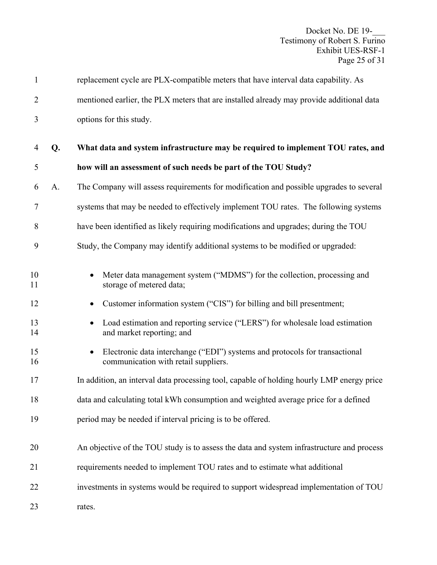| $\mathbf{1}$   |    | replacement cycle are PLX-compatible meters that have interval data capability. As                                  |
|----------------|----|---------------------------------------------------------------------------------------------------------------------|
| $\overline{2}$ |    | mentioned earlier, the PLX meters that are installed already may provide additional data                            |
| 3              |    | options for this study.                                                                                             |
| 4              | Q. | What data and system infrastructure may be required to implement TOU rates, and                                     |
| 5              |    | how will an assessment of such needs be part of the TOU Study?                                                      |
| 6              | A. | The Company will assess requirements for modification and possible upgrades to several                              |
| 7              |    | systems that may be needed to effectively implement TOU rates. The following systems                                |
| 8              |    | have been identified as likely requiring modifications and upgrades; during the TOU                                 |
| 9              |    | Study, the Company may identify additional systems to be modified or upgraded:                                      |
| 10<br>11       |    | Meter data management system ("MDMS") for the collection, processing and<br>storage of metered data;                |
| 12             |    | Customer information system ("CIS") for billing and bill presentment;                                               |
| 13<br>14       |    | Load estimation and reporting service ("LERS") for wholesale load estimation<br>and market reporting; and           |
| 15<br>16       |    | Electronic data interchange ("EDI") systems and protocols for transactional<br>communication with retail suppliers. |
| 17             |    | In addition, an interval data processing tool, capable of holding hourly LMP energy price                           |
| 18             |    | data and calculating total kWh consumption and weighted average price for a defined                                 |
| 19             |    | period may be needed if interval pricing is to be offered.                                                          |
| 20             |    | An objective of the TOU study is to assess the data and system infrastructure and process                           |
| 21             |    | requirements needed to implement TOU rates and to estimate what additional                                          |
| 22             |    | investments in systems would be required to support widespread implementation of TOU                                |
| 23             |    | rates.                                                                                                              |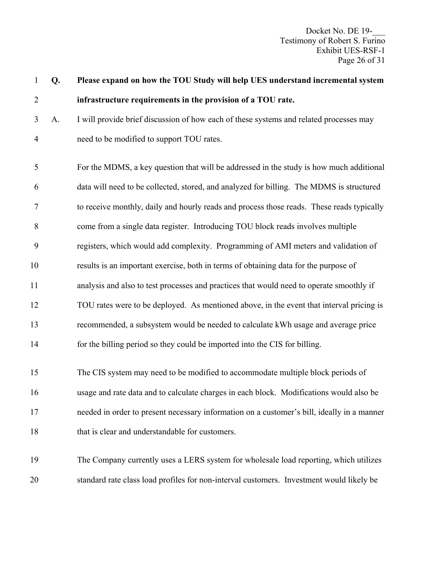Docket No. DE 19-\_\_\_ Testimony of Robert S. Furino Exhibit UES-RSF-1 Page 26 of 31

| $\mathbf{1}$   | Q. | Please expand on how the TOU Study will help UES understand incremental system             |
|----------------|----|--------------------------------------------------------------------------------------------|
| $\overline{2}$ |    | infrastructure requirements in the provision of a TOU rate.                                |
| 3              | A. | I will provide brief discussion of how each of these systems and related processes may     |
| $\overline{4}$ |    | need to be modified to support TOU rates.                                                  |
| 5              |    | For the MDMS, a key question that will be addressed in the study is how much additional    |
| 6              |    | data will need to be collected, stored, and analyzed for billing. The MDMS is structured   |
| $\tau$         |    | to receive monthly, daily and hourly reads and process those reads. These reads typically  |
| 8              |    | come from a single data register. Introducing TOU block reads involves multiple            |
| 9              |    | registers, which would add complexity. Programming of AMI meters and validation of         |
| 10             |    | results is an important exercise, both in terms of obtaining data for the purpose of       |
| 11             |    | analysis and also to test processes and practices that would need to operate smoothly if   |
| 12             |    | TOU rates were to be deployed. As mentioned above, in the event that interval pricing is   |
| 13             |    | recommended, a subsystem would be needed to calculate kWh usage and average price          |
| 14             |    | for the billing period so they could be imported into the CIS for billing.                 |
| 15             |    | The CIS system may need to be modified to accommodate multiple block periods of            |
| 16             |    | usage and rate data and to calculate charges in each block. Modifications would also be    |
| 17             |    | needed in order to present necessary information on a customer's bill, ideally in a manner |
| 18             |    | that is clear and understandable for customers.                                            |
| 19             |    | The Company currently uses a LERS system for wholesale load reporting, which utilizes      |
| 20             |    | standard rate class load profiles for non-interval customers. Investment would likely be   |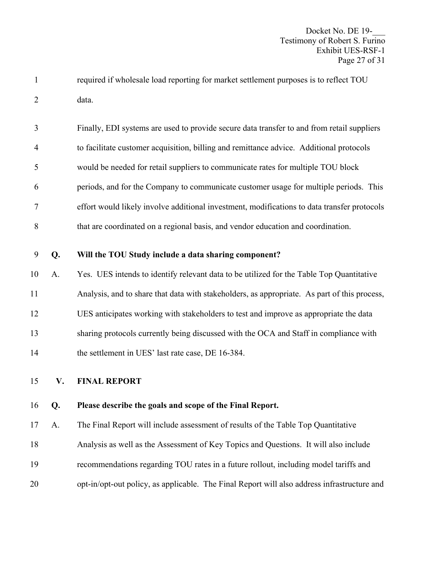1 required if wholesale load reporting for market settlement purposes is to reflect TOU 2 data.

3 Finally, EDI systems are used to provide secure data transfer to and from retail suppliers 4 to facilitate customer acquisition, billing and remittance advice. Additional protocols 5 would be needed for retail suppliers to communicate rates for multiple TOU block 6 periods, and for the Company to communicate customer usage for multiple periods. This 7 effort would likely involve additional investment, modifications to data transfer protocols 8 that are coordinated on a regional basis, and vendor education and coordination.

#### 9 **Q. Will the TOU Study include a data sharing component?**

10 A. Yes. UES intends to identify relevant data to be utilized for the Table Top Quantitative 11 Analysis, and to share that data with stakeholders, as appropriate. As part of this process, 12 UES anticipates working with stakeholders to test and improve as appropriate the data 13 sharing protocols currently being discussed with the OCA and Staff in compliance with 14 the settlement in UES' last rate case, DE 16-384.

15 **V. FINAL REPORT** 

#### 16 **Q. Please describe the goals and scope of the Final Report.**

17 A. The Final Report will include assessment of results of the Table Top Quantitative

18 Analysis as well as the Assessment of Key Topics and Questions. It will also include

- 19 recommendations regarding TOU rates in a future rollout, including model tariffs and
- 20 opt-in/opt-out policy, as applicable. The Final Report will also address infrastructure and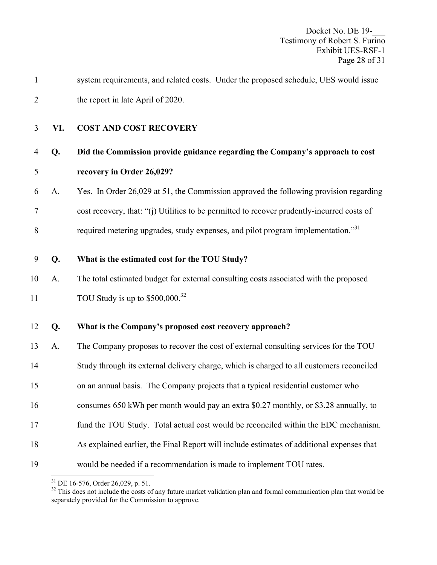| $\mathbf{1}$   |     | system requirements, and related costs. Under the proposed schedule, UES would issue       |
|----------------|-----|--------------------------------------------------------------------------------------------|
| $\overline{2}$ |     | the report in late April of 2020.                                                          |
| 3              | VI. | <b>COST AND COST RECOVERY</b>                                                              |
| $\overline{4}$ | Q.  | Did the Commission provide guidance regarding the Company's approach to cost               |
| 5              |     | recovery in Order 26,029?                                                                  |
| 6              | A.  | Yes. In Order 26,029 at 51, the Commission approved the following provision regarding      |
| 7              |     | cost recovery, that: "(j) Utilities to be permitted to recover prudently-incurred costs of |
| 8              |     | required metering upgrades, study expenses, and pilot program implementation."31           |
| 9              | Q.  | What is the estimated cost for the TOU Study?                                              |
| 10             | A.  | The total estimated budget for external consulting costs associated with the proposed      |
| 11             |     | TOU Study is up to $$500,000.32$                                                           |
| 12             | Q.  | What is the Company's proposed cost recovery approach?                                     |
| 13             | A.  | The Company proposes to recover the cost of external consulting services for the TOU       |
| 14             |     | Study through its external delivery charge, which is charged to all customers reconciled   |
| 15             |     | on an annual basis. The Company projects that a typical residential customer who           |
| 16             |     | consumes 650 kWh per month would pay an extra \$0.27 monthly, or \$3.28 annually, to       |
| 17             |     | fund the TOU Study. Total actual cost would be reconciled within the EDC mechanism.        |
| 18             |     | As explained earlier, the Final Report will include estimates of additional expenses that  |
| 19             |     | would be needed if a recommendation is made to implement TOU rates.                        |

 $\overline{a}$  $31$  DE 16-576, Order 26,029, p. 51.

 $32$  This does not include the costs of any future market validation plan and formal communication plan that would be separately provided for the Commission to approve.